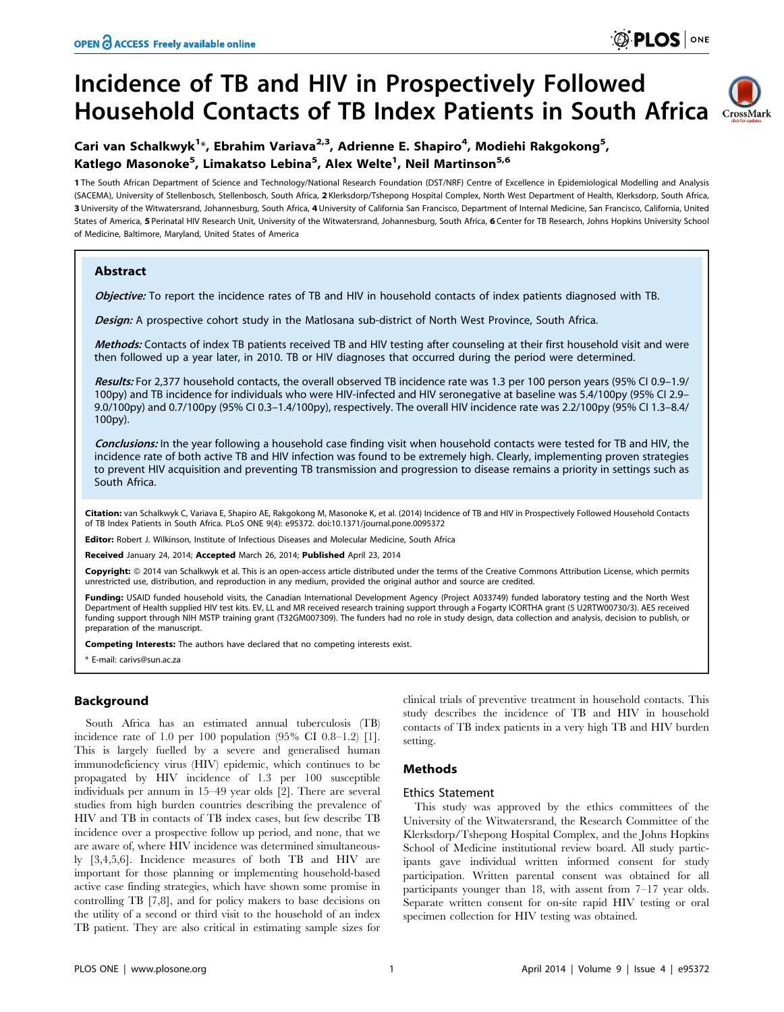# Incidence of TB and HIV in Prospectively Followed Household Contacts of TB Index Patients in South Africa



## Cari van Schalkwyk<sup>1</sup>\*, Ebrahim Variava<sup>2,3</sup>, Adrienne E. Shapiro<sup>4</sup>, Modiehi Rakgokong<sup>5</sup>, Katlego Masonoke<sup>5</sup>, Limakatso Lebina<sup>5</sup>, Alex Welte<sup>1</sup>, Neil Martinson<sup>5,6</sup>

1 The South African Department of Science and Technology/National Research Foundation (DST/NRF) Centre of Excellence in Epidemiological Modelling and Analysis (SACEMA), University of Stellenbosch, Stellenbosch, South Africa, 2 Klerksdorp/Tshepong Hospital Complex, North West Department of Health, Klerksdorp, South Africa, 3 University of the Witwatersrand, Johannesburg, South Africa, 4 University of California San Francisco, Department of Internal Medicine, San Francisco, California, United States of America, 5 Perinatal HIV Research Unit, University of the Witwatersrand, Johannesburg, South Africa, 6 Center for TB Research, Johns Hopkins University School of Medicine, Baltimore, Maryland, United States of America

## **Abstract**

Objective: To report the incidence rates of TB and HIV in household contacts of index patients diagnosed with TB.

Design: A prospective cohort study in the Matlosana sub-district of North West Province, South Africa.

Methods: Contacts of index TB patients received TB and HIV testing after counseling at their first household visit and were then followed up a year later, in 2010. TB or HIV diagnoses that occurred during the period were determined.

Results: For 2,377 household contacts, the overall observed TB incidence rate was 1.3 per 100 person years (95% CI 0.9–1.9/ 100py) and TB incidence for individuals who were HIV-infected and HIV seronegative at baseline was 5.4/100py (95% CI 2.9– 9.0/100py) and 0.7/100py (95% CI 0.3–1.4/100py), respectively. The overall HIV incidence rate was 2.2/100py (95% CI 1.3–8.4/ 100py).

Conclusions: In the year following a household case finding visit when household contacts were tested for TB and HIV, the incidence rate of both active TB and HIV infection was found to be extremely high. Clearly, implementing proven strategies to prevent HIV acquisition and preventing TB transmission and progression to disease remains a priority in settings such as South Africa.

Citation: van Schalkwyk C, Variava E, Shapiro AE, Rakgokong M, Masonoke K, et al. (2014) Incidence of TB and HIV in Prospectively Followed Household Contacts of TB Index Patients in South Africa. PLoS ONE 9(4): e95372. doi:10.1371/journal.pone.0095372

Editor: Robert J. Wilkinson, Institute of Infectious Diseases and Molecular Medicine, South Africa

Received January 24, 2014; Accepted March 26, 2014; Published April 23, 2014

Copyright: © 2014 van Schalkwyk et al. This is an open-access article distributed under the terms of the [Creative Commons Attribution License](http://creativecommons.org/licenses/by/4.0/), which permits unrestricted use, distribution, and reproduction in any medium, provided the original author and source are credited.

Funding: USAID funded household visits, the Canadian International Development Agency (Project A033749) funded laboratory testing and the North West Department of Health supplied HIV test kits. EV, LL and MR received research training support through a Fogarty ICORTHA grant (5 U2RTW00730/3). AES received funding support through NIH MSTP training grant (T32GM007309). The funders had no role in study design, data collection and analysis, decision to publish, or preparation of the manuscript.

Competing Interests: The authors have declared that no competing interests exist.

\* E-mail: carivs@sun.ac.za

## Background

South Africa has an estimated annual tuberculosis (TB) incidence rate of 1.0 per 100 population (95% CI 0.8–1.2) [1]. This is largely fuelled by a severe and generalised human immunodeficiency virus (HIV) epidemic, which continues to be propagated by HIV incidence of 1.3 per 100 susceptible individuals per annum in 15–49 year olds [2]. There are several studies from high burden countries describing the prevalence of HIV and TB in contacts of TB index cases, but few describe TB incidence over a prospective follow up period, and none, that we are aware of, where HIV incidence was determined simultaneously [3,4,5,6]. Incidence measures of both TB and HIV are important for those planning or implementing household-based active case finding strategies, which have shown some promise in controlling TB [7,8], and for policy makers to base decisions on the utility of a second or third visit to the household of an index TB patient. They are also critical in estimating sample sizes for

clinical trials of preventive treatment in household contacts. This study describes the incidence of TB and HIV in household contacts of TB index patients in a very high TB and HIV burden setting.

## Methods

## Ethics Statement

This study was approved by the ethics committees of the University of the Witwatersrand, the Research Committee of the Klerksdorp/Tshepong Hospital Complex, and the Johns Hopkins School of Medicine institutional review board. All study participants gave individual written informed consent for study participation. Written parental consent was obtained for all participants younger than 18, with assent from 7–17 year olds. Separate written consent for on-site rapid HIV testing or oral specimen collection for HIV testing was obtained.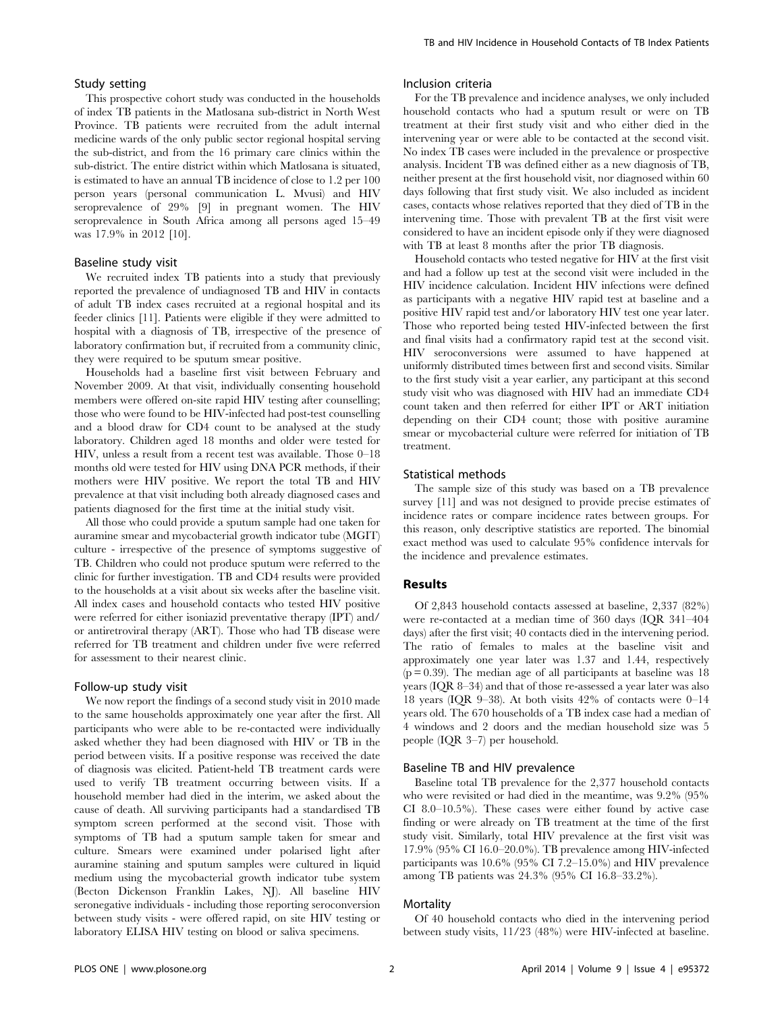#### Study setting

This prospective cohort study was conducted in the households of index TB patients in the Matlosana sub-district in North West Province. TB patients were recruited from the adult internal medicine wards of the only public sector regional hospital serving the sub-district, and from the 16 primary care clinics within the sub-district. The entire district within which Matlosana is situated, is estimated to have an annual TB incidence of close to 1.2 per 100 person years (personal communication L. Mvusi) and HIV seroprevalence of 29% [9] in pregnant women. The HIV seroprevalence in South Africa among all persons aged 15–49 was 17.9% in 2012 [10].

#### Baseline study visit

We recruited index TB patients into a study that previously reported the prevalence of undiagnosed TB and HIV in contacts of adult TB index cases recruited at a regional hospital and its feeder clinics [11]. Patients were eligible if they were admitted to hospital with a diagnosis of TB, irrespective of the presence of laboratory confirmation but, if recruited from a community clinic, they were required to be sputum smear positive.

Households had a baseline first visit between February and November 2009. At that visit, individually consenting household members were offered on-site rapid HIV testing after counselling; those who were found to be HIV-infected had post-test counselling and a blood draw for CD4 count to be analysed at the study laboratory. Children aged 18 months and older were tested for HIV, unless a result from a recent test was available. Those 0–18 months old were tested for HIV using DNA PCR methods, if their mothers were HIV positive. We report the total TB and HIV prevalence at that visit including both already diagnosed cases and patients diagnosed for the first time at the initial study visit.

All those who could provide a sputum sample had one taken for auramine smear and mycobacterial growth indicator tube (MGIT) culture - irrespective of the presence of symptoms suggestive of TB. Children who could not produce sputum were referred to the clinic for further investigation. TB and CD4 results were provided to the households at a visit about six weeks after the baseline visit. All index cases and household contacts who tested HIV positive were referred for either isoniazid preventative therapy (IPT) and/ or antiretroviral therapy (ART). Those who had TB disease were referred for TB treatment and children under five were referred for assessment to their nearest clinic.

#### Follow-up study visit

We now report the findings of a second study visit in 2010 made to the same households approximately one year after the first. All participants who were able to be re-contacted were individually asked whether they had been diagnosed with HIV or TB in the period between visits. If a positive response was received the date of diagnosis was elicited. Patient-held TB treatment cards were used to verify TB treatment occurring between visits. If a household member had died in the interim, we asked about the cause of death. All surviving participants had a standardised TB symptom screen performed at the second visit. Those with symptoms of TB had a sputum sample taken for smear and culture. Smears were examined under polarised light after auramine staining and sputum samples were cultured in liquid medium using the mycobacterial growth indicator tube system (Becton Dickenson Franklin Lakes, NJ). All baseline HIV seronegative individuals - including those reporting seroconversion between study visits - were offered rapid, on site HIV testing or laboratory ELISA HIV testing on blood or saliva specimens.

#### Inclusion criteria

For the TB prevalence and incidence analyses, we only included household contacts who had a sputum result or were on TB treatment at their first study visit and who either died in the intervening year or were able to be contacted at the second visit. No index TB cases were included in the prevalence or prospective analysis. Incident TB was defined either as a new diagnosis of TB, neither present at the first household visit, nor diagnosed within 60 days following that first study visit. We also included as incident cases, contacts whose relatives reported that they died of TB in the intervening time. Those with prevalent TB at the first visit were considered to have an incident episode only if they were diagnosed with TB at least 8 months after the prior TB diagnosis.

Household contacts who tested negative for HIV at the first visit and had a follow up test at the second visit were included in the HIV incidence calculation. Incident HIV infections were defined as participants with a negative HIV rapid test at baseline and a positive HIV rapid test and/or laboratory HIV test one year later. Those who reported being tested HIV-infected between the first and final visits had a confirmatory rapid test at the second visit. HIV seroconversions were assumed to have happened at uniformly distributed times between first and second visits. Similar to the first study visit a year earlier, any participant at this second study visit who was diagnosed with HIV had an immediate CD4 count taken and then referred for either IPT or ART initiation depending on their CD4 count; those with positive auramine smear or mycobacterial culture were referred for initiation of TB treatment.

#### Statistical methods

The sample size of this study was based on a TB prevalence survey [11] and was not designed to provide precise estimates of incidence rates or compare incidence rates between groups. For this reason, only descriptive statistics are reported. The binomial exact method was used to calculate 95% confidence intervals for the incidence and prevalence estimates.

## Results

Of 2,843 household contacts assessed at baseline, 2,337 (82%) were re-contacted at a median time of 360 days (IQR 341–404 days) after the first visit; 40 contacts died in the intervening period. The ratio of females to males at the baseline visit and approximately one year later was 1.37 and 1.44, respectively  $(p = 0.39)$ . The median age of all participants at baseline was 18 years (IQR 8–34) and that of those re-assessed a year later was also 18 years (IQR 9–38). At both visits 42% of contacts were 0–14 years old. The 670 households of a TB index case had a median of 4 windows and 2 doors and the median household size was 5 people (IQR 3–7) per household.

#### Baseline TB and HIV prevalence

Baseline total TB prevalence for the 2,377 household contacts who were revisited or had died in the meantime, was 9.2% (95% CI 8.0–10.5%). These cases were either found by active case finding or were already on TB treatment at the time of the first study visit. Similarly, total HIV prevalence at the first visit was 17.9% (95% CI 16.0–20.0%). TB prevalence among HIV-infected participants was 10.6% (95% CI 7.2–15.0%) and HIV prevalence among TB patients was 24.3% (95% CI 16.8–33.2%).

#### **Mortality**

Of 40 household contacts who died in the intervening period between study visits, 11/23 (48%) were HIV-infected at baseline.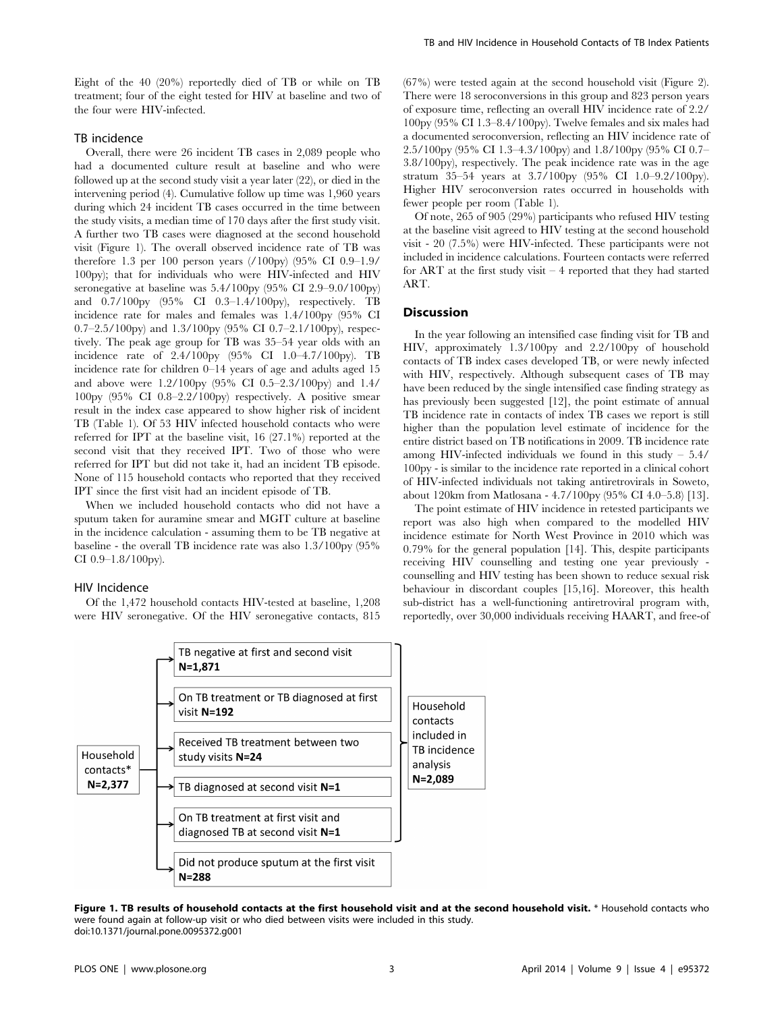Eight of the 40 (20%) reportedly died of TB or while on TB treatment; four of the eight tested for HIV at baseline and two of the four were HIV-infected.

## TB incidence

Overall, there were 26 incident TB cases in 2,089 people who had a documented culture result at baseline and who were followed up at the second study visit a year later (22), or died in the intervening period (4). Cumulative follow up time was 1,960 years during which 24 incident TB cases occurred in the time between the study visits, a median time of 170 days after the first study visit. A further two TB cases were diagnosed at the second household visit (Figure 1). The overall observed incidence rate of TB was therefore 1.3 per 100 person years (/100py) (95% CI 0.9–1.9/ 100py); that for individuals who were HIV-infected and HIV seronegative at baseline was 5.4/100py (95% CI 2.9–9.0/100py) and 0.7/100py (95% CI 0.3–1.4/100py), respectively. TB incidence rate for males and females was 1.4/100py (95% CI 0.7–2.5/100py) and 1.3/100py (95% CI 0.7–2.1/100py), respectively. The peak age group for TB was 35–54 year olds with an incidence rate of 2.4/100py (95% CI 1.0–4.7/100py). TB incidence rate for children 0–14 years of age and adults aged 15 and above were 1.2/100py (95% CI 0.5–2.3/100py) and 1.4/ 100py (95% CI 0.8–2.2/100py) respectively. A positive smear result in the index case appeared to show higher risk of incident TB (Table 1). Of 53 HIV infected household contacts who were referred for IPT at the baseline visit, 16 (27.1%) reported at the second visit that they received IPT. Two of those who were referred for IPT but did not take it, had an incident TB episode. None of 115 household contacts who reported that they received IPT since the first visit had an incident episode of TB.

When we included household contacts who did not have a sputum taken for auramine smear and MGIT culture at baseline in the incidence calculation - assuming them to be TB negative at baseline - the overall TB incidence rate was also 1.3/100py (95% CI 0.9–1.8/100py).

## HIV Incidence

Of the 1,472 household contacts HIV-tested at baseline, 1,208 were HIV seronegative. Of the HIV seronegative contacts, 815 (67%) were tested again at the second household visit (Figure 2). There were 18 seroconversions in this group and 823 person years of exposure time, reflecting an overall HIV incidence rate of 2.2/ 100py (95% CI 1.3–8.4/100py). Twelve females and six males had a documented seroconversion, reflecting an HIV incidence rate of 2.5/100py (95% CI 1.3–4.3/100py) and 1.8/100py (95% CI 0.7– 3.8/100py), respectively. The peak incidence rate was in the age stratum 35–54 years at 3.7/100py (95% CI 1.0–9.2/100py). Higher HIV seroconversion rates occurred in households with fewer people per room (Table 1).

Of note, 265 of 905 (29%) participants who refused HIV testing at the baseline visit agreed to HIV testing at the second household visit - 20 (7.5%) were HIV-infected. These participants were not included in incidence calculations. Fourteen contacts were referred for ART at the first study visit  $-4$  reported that they had started ART.

## Discussion

In the year following an intensified case finding visit for TB and HIV, approximately 1.3/100py and 2.2/100py of household contacts of TB index cases developed TB, or were newly infected with HIV, respectively. Although subsequent cases of TB may have been reduced by the single intensified case finding strategy as has previously been suggested [12], the point estimate of annual TB incidence rate in contacts of index TB cases we report is still higher than the population level estimate of incidence for the entire district based on TB notifications in 2009. TB incidence rate among HIV-infected individuals we found in this study  $-5.4/$ 100py - is similar to the incidence rate reported in a clinical cohort of HIV-infected individuals not taking antiretrovirals in Soweto, about 120km from Matlosana - 4.7/100py (95% CI 4.0–5.8) [13].

The point estimate of HIV incidence in retested participants we report was also high when compared to the modelled HIV incidence estimate for North West Province in 2010 which was 0.79% for the general population [14]. This, despite participants receiving HIV counselling and testing one year previously counselling and HIV testing has been shown to reduce sexual risk behaviour in discordant couples [15,16]. Moreover, this health sub-district has a well-functioning antiretroviral program with, reportedly, over 30,000 individuals receiving HAART, and free-of



Figure 1. TB results of household contacts at the first household visit and at the second household visit. \* Household contacts who were found again at follow-up visit or who died between visits were included in this study. doi:10.1371/journal.pone.0095372.g001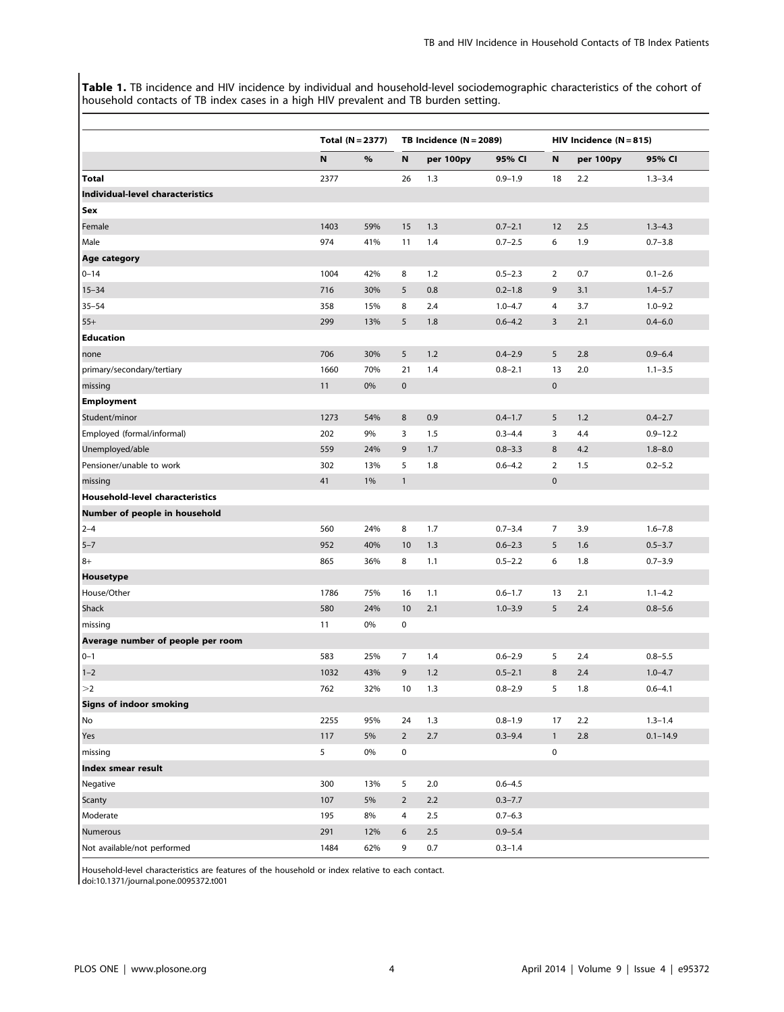Table 1. TB incidence and HIV incidence by individual and household-level sociodemographic characteristics of the cohort of household contacts of TB index cases in a high HIV prevalent and TB burden setting.

|                                         |      | Total (N = 2377) |                         | TB Incidence $(N = 2089)$ |             |                | $HIV$ Incidence ( $N = 815$ ) |              |  |
|-----------------------------------------|------|------------------|-------------------------|---------------------------|-------------|----------------|-------------------------------|--------------|--|
|                                         | N    | $\%$             | N                       | per 100py                 | 95% CI      | N              | per 100py                     | 95% CI       |  |
| <b>Total</b>                            | 2377 |                  | 26                      | 1.3                       | $0.9 - 1.9$ | 18             | 2.2                           | $1.3 - 3.4$  |  |
| Individual-level characteristics        |      |                  |                         |                           |             |                |                               |              |  |
| Sex                                     |      |                  |                         |                           |             |                |                               |              |  |
| Female                                  | 1403 | 59%              | 15                      | 1.3                       | $0.7 - 2.1$ | 12             | 2.5                           | $1.3 - 4.3$  |  |
| Male                                    | 974  | 41%              | 11                      | 1.4                       | $0.7 - 2.5$ | 6              | 1.9                           | $0.7 - 3.8$  |  |
| Age category                            |      |                  |                         |                           |             |                |                               |              |  |
| $0 - 14$                                | 1004 | 42%              | 8                       | 1.2                       | $0.5 - 2.3$ | $\overline{2}$ | 0.7                           | $0.1 - 2.6$  |  |
| $15 - 34$                               | 716  | 30%              | 5                       | 0.8                       | $0.2 - 1.8$ | 9              | 3.1                           | $1.4 - 5.7$  |  |
| $35 - 54$                               | 358  | 15%              | 8                       | 2.4                       | $1.0 - 4.7$ | 4              | 3.7                           | $1.0 - 9.2$  |  |
| $55+$                                   | 299  | 13%              | 5                       | 1.8                       | $0.6 - 4.2$ | 3              | 2.1                           | $0.4 - 6.0$  |  |
| <b>Education</b>                        |      |                  |                         |                           |             |                |                               |              |  |
| none                                    | 706  | 30%              | 5                       | 1.2                       | $0.4 - 2.9$ | 5              | 2.8                           | $0.9 - 6.4$  |  |
| primary/secondary/tertiary              | 1660 | 70%              | 21                      | 1.4                       | $0.8 - 2.1$ | 13             | 2.0                           | $1.1 - 3.5$  |  |
| missing                                 | 11   | 0%               | $\pmb{0}$               |                           |             | $\pmb{0}$      |                               |              |  |
| <b>Employment</b>                       |      |                  |                         |                           |             |                |                               |              |  |
| Student/minor                           | 1273 | 54%              | 8                       | 0.9                       | $0.4 - 1.7$ | 5              | 1.2                           | $0.4 - 2.7$  |  |
| Employed (formal/informal)              | 202  | 9%               | 3                       | 1.5                       | $0.3 - 4.4$ | 3              | 4.4                           | $0.9 - 12.2$ |  |
| Unemployed/able                         | 559  | 24%              | 9                       | 1.7                       | $0.8 - 3.3$ | 8              | 4.2                           | $1.8 - 8.0$  |  |
| Pensioner/unable to work                | 302  | 13%              | 5                       | 1.8                       | $0.6 - 4.2$ | $\overline{2}$ | 1.5                           | $0.2 - 5.2$  |  |
| missing                                 | 41   | 1%               | $\mathbf{1}$            |                           |             | $\pmb{0}$      |                               |              |  |
| <b>Household-level characteristics</b>  |      |                  |                         |                           |             |                |                               |              |  |
| Number of people in household           |      |                  |                         |                           |             |                |                               |              |  |
| $2 - 4$                                 | 560  | 24%              | 8                       | 1.7                       | $0.7 - 3.4$ | 7              | 3.9                           | $1.6 - 7.8$  |  |
| $5 - 7$                                 | 952  | 40%              | 10                      | 1.3                       | $0.6 - 2.3$ | 5              | 1.6                           | $0.5 - 3.7$  |  |
| $8+$                                    | 865  | 36%              | 8                       | 1.1                       | $0.5 - 2.2$ | 6              | 1.8                           | $0.7 - 3.9$  |  |
| Housetype                               |      |                  |                         |                           |             |                |                               |              |  |
| House/Other                             | 1786 | 75%              | 16                      | 1.1                       | $0.6 - 1.7$ | 13             | 2.1                           | $1.1 - 4.2$  |  |
| Shack                                   | 580  | 24%              | 10                      | 2.1                       | $1.0 - 3.9$ | 5              | 2.4                           | $0.8 - 5.6$  |  |
| missing                                 | 11   | 0%               | 0                       |                           |             |                |                               |              |  |
| Average number of people per room       |      |                  |                         |                           |             |                |                               |              |  |
| $0 - 1$                                 | 583  | 25%              | $\overline{7}$          | 1.4                       | $0.6 - 2.9$ | 5              | 2.4                           | $0.8 - 5.5$  |  |
| $1 - 2$                                 | 1032 | 43%              | 9                       | 1.2                       | $0.5 - 2.1$ | 8              | 2.4                           | $1.0 - 4.7$  |  |
| >2                                      | 762  | 32%              | 10                      | 1.3                       | $0.8 - 2.9$ | 5              | 1.8                           | $0.6 - 4.1$  |  |
| <b>Signs of indoor smoking</b>          |      |                  |                         |                           |             |                |                               |              |  |
| No                                      | 2255 | 95%              | 24                      | 1.3                       | $0.8 - 1.9$ | 17             | 2.2                           | $1.3 - 1.4$  |  |
| Yes                                     | 117  | 5%               | $\overline{2}$          | 2.7                       | $0.3 - 9.4$ | $\mathbf{1}$   | 2.8                           | $0.1 - 14.9$ |  |
| missing                                 | 5    | $0\%$            | $\pmb{0}$               |                           |             | 0              |                               |              |  |
| Index smear result                      |      |                  |                         |                           |             |                |                               |              |  |
| Negative                                | 300  | 13%              | 5                       | $2.0\,$                   | $0.6 - 4.5$ |                |                               |              |  |
| Scanty                                  | 107  | 5%               | $\overline{2}$          | $2.2\,$                   | $0.3 - 7.7$ |                |                               |              |  |
| Moderate                                | 195  | 8%               | $\overline{\mathbf{4}}$ | $2.5\,$                   | $0.7 - 6.3$ |                |                               |              |  |
|                                         | 291  | 12%              |                         | $2.5\,$                   | $0.9 - 5.4$ |                |                               |              |  |
| Numerous<br>Not available/not performed | 1484 | 62%              | 6<br>9                  | $0.7\,$                   | $0.3 - 1.4$ |                |                               |              |  |

Household-level characteristics are features of the household or index relative to each contact.

doi:10.1371/journal.pone.0095372.t001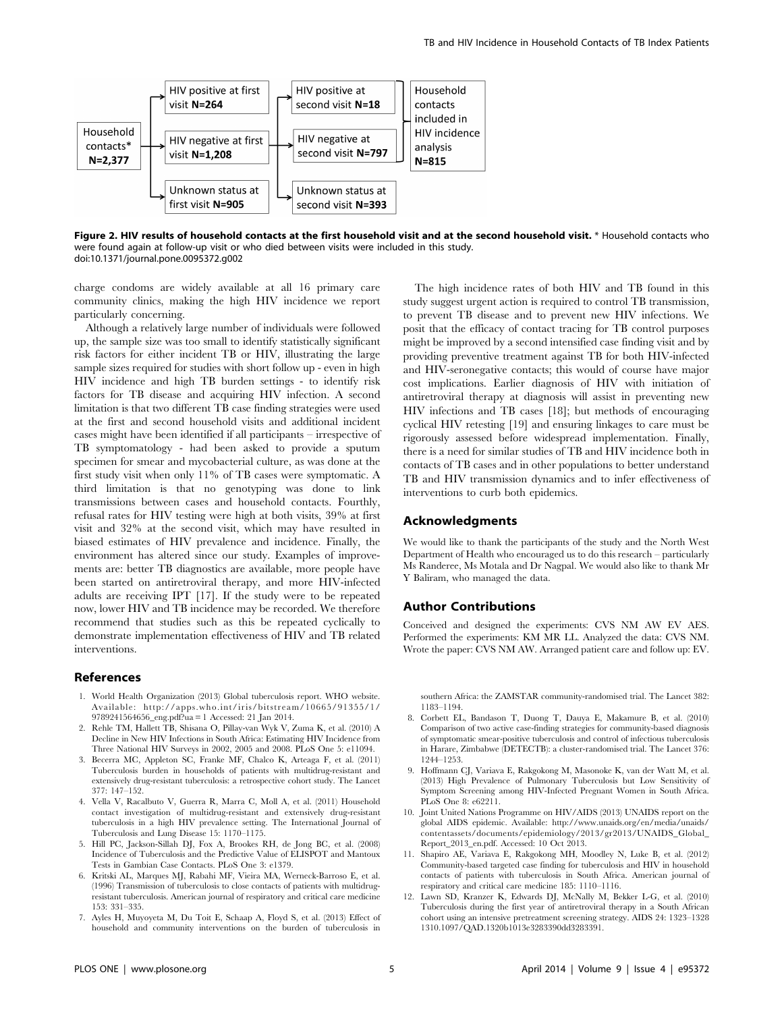

Figure 2. HIV results of household contacts at the first household visit and at the second household visit. \* Household contacts who were found again at follow-up visit or who died between visits were included in this study. doi:10.1371/journal.pone.0095372.g002

charge condoms are widely available at all 16 primary care community clinics, making the high HIV incidence we report particularly concerning.

Although a relatively large number of individuals were followed up, the sample size was too small to identify statistically significant risk factors for either incident TB or HIV, illustrating the large sample sizes required for studies with short follow up - even in high HIV incidence and high TB burden settings - to identify risk factors for TB disease and acquiring HIV infection. A second limitation is that two different TB case finding strategies were used at the first and second household visits and additional incident cases might have been identified if all participants – irrespective of TB symptomatology - had been asked to provide a sputum specimen for smear and mycobacterial culture, as was done at the first study visit when only 11% of TB cases were symptomatic. A third limitation is that no genotyping was done to link transmissions between cases and household contacts. Fourthly, refusal rates for HIV testing were high at both visits, 39% at first visit and 32% at the second visit, which may have resulted in biased estimates of HIV prevalence and incidence. Finally, the environment has altered since our study. Examples of improvements are: better TB diagnostics are available, more people have been started on antiretroviral therapy, and more HIV-infected adults are receiving IPT [17]. If the study were to be repeated now, lower HIV and TB incidence may be recorded. We therefore recommend that studies such as this be repeated cyclically to demonstrate implementation effectiveness of HIV and TB related interventions.

#### References

- 1. World Health Organization (2013) Global tuberculosis report. WHO website. Available: [http://apps.who.int/iris/bitstream/10665/91355/1/](http://apps.who.int/iris/bitstream/10665/91355/1/9789241564656_eng.pdf?ua=1) [9789241564656\\_eng.pdf?ua = 1](http://apps.who.int/iris/bitstream/10665/91355/1/9789241564656_eng.pdf?ua=1) Accessed: 21 Jan 2014.
- 2. Rehle TM, Hallett TB, Shisana O, Pillay-van Wyk V, Zuma K, et al. (2010) A Decline in New HIV Infections in South Africa: Estimating HIV Incidence from Three National HIV Surveys in 2002, 2005 and 2008. PLoS One 5: e11094.
- 3. Becerra MC, Appleton SC, Franke MF, Chalco K, Arteaga F, et al. (2011) Tuberculosis burden in households of patients with multidrug-resistant and extensively drug-resistant tuberculosis: a retrospective cohort study. The Lancet 377: 147–152.
- 4. Vella V, Racalbuto V, Guerra R, Marra C, Moll A, et al. (2011) Household contact investigation of multidrug-resistant and extensively drug-resistant tuberculosis in a high HIV prevalence setting. The International Journal of Tuberculosis and Lung Disease 15: 1170–1175.
- 5. Hill PC, Jackson-Sillah DJ, Fox A, Brookes RH, de Jong BC, et al. (2008) Incidence of Tuberculosis and the Predictive Value of ELISPOT and Mantoux Tests in Gambian Case Contacts. PLoS One 3: e1379.
- 6. Kritski AL, Marques MJ, Rabahi MF, Vieira MA, Werneck-Barroso E, et al. (1996) Transmission of tuberculosis to close contacts of patients with multidrugresistant tuberculosis. American journal of respiratory and critical care medicine 153: 331–335.
- 7. Ayles H, Muyoyeta M, Du Toit E, Schaap A, Floyd S, et al. (2013) Effect of household and community interventions on the burden of tuberculosis in

The high incidence rates of both HIV and TB found in this study suggest urgent action is required to control TB transmission, to prevent TB disease and to prevent new HIV infections. We posit that the efficacy of contact tracing for TB control purposes might be improved by a second intensified case finding visit and by providing preventive treatment against TB for both HIV-infected and HIV-seronegative contacts; this would of course have major cost implications. Earlier diagnosis of HIV with initiation of antiretroviral therapy at diagnosis will assist in preventing new HIV infections and TB cases [18]; but methods of encouraging cyclical HIV retesting [19] and ensuring linkages to care must be rigorously assessed before widespread implementation. Finally, there is a need for similar studies of TB and HIV incidence both in contacts of TB cases and in other populations to better understand TB and HIV transmission dynamics and to infer effectiveness of interventions to curb both epidemics.

## Acknowledgments

We would like to thank the participants of the study and the North West Department of Health who encouraged us to do this research – particularly Ms Randeree, Ms Motala and Dr Nagpal. We would also like to thank Mr Y Baliram, who managed the data.

## Author Contributions

Conceived and designed the experiments: CVS NM AW EV AES. Performed the experiments: KM MR LL. Analyzed the data: CVS NM. Wrote the paper: CVS NM AW. Arranged patient care and follow up: EV.

southern Africa: the ZAMSTAR community-randomised trial. The Lancet 382: 1183–1194.

- 8. Corbett EL, Bandason T, Duong T, Dauya E, Makamure B, et al. (2010) Comparison of two active case-finding strategies for community-based diagnosis of symptomatic smear-positive tuberculosis and control of infectious tuberculosis in Harare, Zimbabwe (DETECTB): a cluster-randomised trial. The Lancet 376: 1244–1253.
- 9. Hoffmann CJ, Variava E, Rakgokong M, Masonoke K, van der Watt M, et al. (2013) High Prevalence of Pulmonary Tuberculosis but Low Sensitivity of Symptom Screening among HIV-Infected Pregnant Women in South Africa. PLoS One 8: e62211.
- 10. Joint United Nations Programme on HIV/AIDS (2013) UNAIDS report on the global AIDS epidemic. Available: [http://www.unaids.org/en/media/unaids/](http://www.unaids.org/en/media/unaids/contentassets/documents/epidemiology/2013/gr2013/UNAIDS_Global_Report_2013_en.pdf) [contentassets/documents/epidemiology/2013/gr2013/UNAIDS\\_Global\\_](http://www.unaids.org/en/media/unaids/contentassets/documents/epidemiology/2013/gr2013/UNAIDS_Global_Report_2013_en.pdf) [Report\\_2013\\_en.pdf](http://www.unaids.org/en/media/unaids/contentassets/documents/epidemiology/2013/gr2013/UNAIDS_Global_Report_2013_en.pdf). Accessed: 10 Oct 2013.
- 11. Shapiro AE, Variava E, Rakgokong MH, Moodley N, Luke B, et al. (2012) Community-based targeted case finding for tuberculosis and HIV in household contacts of patients with tuberculosis in South Africa. American journal of respiratory and critical care medicine 185: 1110–1116.
- 12. Lawn SD, Kranzer K, Edwards DJ, McNally M, Bekker L-G, et al. (2010) Tuberculosis during the first year of antiretroviral therapy in a South African cohort using an intensive pretreatment screening strategy. AIDS 24: 1323–1328 1310.1097/QAD.1320b1013e3283390dd3283391.